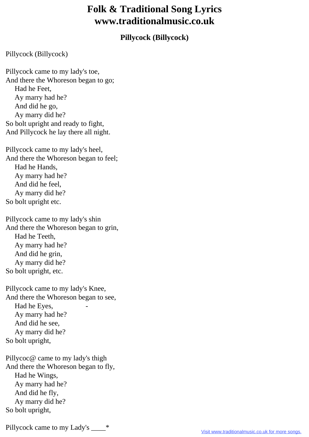## **Folk & Traditional Song Lyrics www.traditionalmusic.co.uk**

## **Pillycock (Billycock)**

Pillycock (Billycock)

Pillycock came to my lady's toe, And there the Whoreson began to go; Had he Feet, Ay marry had he? And did he go, Ay marry did he? So bolt upright and ready to fight, And Pillycock he lay there all night.

Pillycock came to my lady's heel, And there the Whoreson began to feel; Had he Hands, Ay marry had he? And did he feel, Ay marry did he? So bolt upright etc.

Pillycock came to my lady's shin And there the Whoreson began to grin, Had he Teeth, Ay marry had he? And did he grin, Ay marry did he? So bolt upright, etc.

Pillycock came to my lady's Knee, And there the Whoreson began to see, Had he Eyes, Ay marry had he? And did he see, Ay marry did he? So bolt upright,

Pillycoc@ came to my lady's thigh And there the Whoreson began to fly, Had he Wings, Ay marry had he? And did he fly, Ay marry did he? So bolt upright,

Pillycock came to my Lady's \_\_\_\_\*